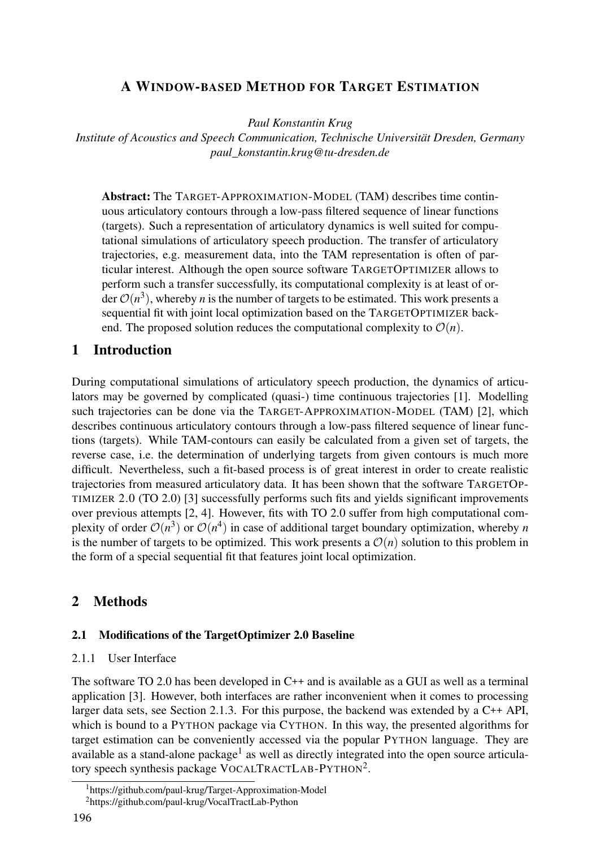# A WINDOW-BASED METHOD FOR TARGET ESTIMATION

*Paul Konstantin Krug*

*Institute of Acoustics and Speech Communication, Technische Universität Dresden, Germany paul\_konstantin.krug@tu-dresden.de*

Abstract: The TARGET-APPROXIMATION-MODEL (TAM) describes time continuous articulatory contours through a low-pass filtered sequence of linear functions (targets). Such a representation of articulatory dynamics is well suited for computational simulations of articulatory speech production. The transfer of articulatory trajectories, e.g. measurement data, into the TAM representation is often of particular interest. Although the open source software TARGETOPTIMIZER allows to perform such a transfer successfully, its computational complexity is at least of order  $\mathcal{O}(n^3)$ , whereby *n* is the number of targets to be estimated. This work presents a sequential fit with joint local optimization based on the TARGETOPTIMIZER backend. The proposed solution reduces the computational complexity to  $\mathcal{O}(n)$ .

# 1 Introduction

During computational simulations of articulatory speech production, the dynamics of articulators may be governed by complicated (quasi-) time continuous trajectories [1]. Modelling such trajectories can be done via the TARGET-APPROXIMATION-MODEL (TAM) [2], which describes continuous articulatory contours through a low-pass filtered sequence of linear functions (targets). While TAM-contours can easily be calculated from a given set of targets, the reverse case, i.e. the determination of underlying targets from given contours is much more difficult. Nevertheless, such a fit-based process is of great interest in order to create realistic trajectories from measured articulatory data. It has been shown that the software TARGETOP-TIMIZER 2.0 (TO 2.0) [3] successfully performs such fits and yields significant improvements over previous attempts [2, 4]. However, fits with TO 2.0 suffer from high computational complexity of order  $\mathcal{O}(n^3)$  or  $\mathcal{O}(n^4)$  in case of additional target boundary optimization, whereby *n* is the number of targets to be optimized. This work presents a  $\mathcal{O}(n)$  solution to this problem in the form of a special sequential fit that features joint local optimization.

### 2 Methods

#### 2.1 Modifications of the TargetOptimizer 2.0 Baseline

#### 2.1.1 User Interface

The software TO 2.0 has been developed in C++ and is available as a GUI as well as a terminal application [3]. However, both interfaces are rather inconvenient when it comes to processing larger data sets, see Section 2.1.3. For this purpose, the backend was extended by a C++ API, which is bound to a PYTHON package via CYTHON. In this way, the presented algorithms for target estimation can be conveniently accessed via the popular PYTHON language. They are available as a stand-alone package<sup>1</sup> as well as directly integrated into the open source articulatory speech synthesis package VOCALTRACTLAB-PYTHON<sup>2</sup>.

<sup>&</sup>lt;sup>1</sup>https://github.com/paul-krug/Target-Approximation-Model

<sup>2</sup>https://github.com/paul-krug/VocalTractLab-Python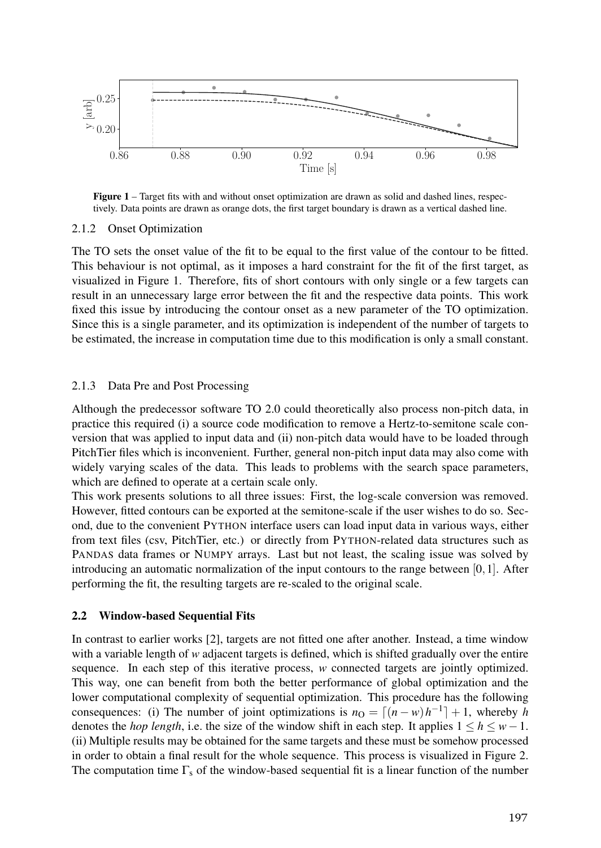

Figure 1 – Target fits with and without onset optimization are drawn as solid and dashed lines, respectively. Data points are drawn as orange dots, the first target boundary is drawn as a vertical dashed line.

#### 2.1.2 Onset Optimization

The TO sets the onset value of the fit to be equal to the first value of the contour to be fitted. This behaviour is not optimal, as it imposes a hard constraint for the fit of the first target, as visualized in Figure 1. Therefore, fits of short contours with only single or a few targets can result in an unnecessary large error between the fit and the respective data points. This work fixed this issue by introducing the contour onset as a new parameter of the TO optimization. Since this is a single parameter, and its optimization is independent of the number of targets to be estimated, the increase in computation time due to this modification is only a small constant.

#### 2.1.3 Data Pre and Post Processing

Although the predecessor software TO 2.0 could theoretically also process non-pitch data, in practice this required (i) a source code modification to remove a Hertz-to-semitone scale conversion that was applied to input data and (ii) non-pitch data would have to be loaded through PitchTier files which is inconvenient. Further, general non-pitch input data may also come with widely varying scales of the data. This leads to problems with the search space parameters, which are defined to operate at a certain scale only.

This work presents solutions to all three issues: First, the log-scale conversion was removed. However, fitted contours can be exported at the semitone-scale if the user wishes to do so. Second, due to the convenient PYTHON interface users can load input data in various ways, either from text files (csv, PitchTier, etc.) or directly from PYTHON-related data structures such as PANDAS data frames or NUMPY arrays. Last but not least, the scaling issue was solved by introducing an automatic normalization of the input contours to the range between  $[0,1]$ . After performing the fit, the resulting targets are re-scaled to the original scale.

### 2.2 Window-based Sequential Fits

In contrast to earlier works [2], targets are not fitted one after another. Instead, a time window with a variable length of *w* adjacent targets is defined, which is shifted gradually over the entire sequence. In each step of this iterative process, *w* connected targets are jointly optimized. This way, one can benefit from both the better performance of global optimization and the lower computational complexity of sequential optimization. This procedure has the following consequences: (i) The number of joint optimizations is  $n_0 = \lfloor (n - w)h^{-1} \rfloor + 1$ , whereby *h* denotes the *hop length*, i.e. the size of the window shift in each step. It applies  $1 \le h \le w-1$ . (ii) Multiple results may be obtained for the same targets and these must be somehow processed in order to obtain a final result for the whole sequence. This process is visualized in Figure 2. The computation time  $\Gamma_s$  of the window-based sequential fit is a linear function of the number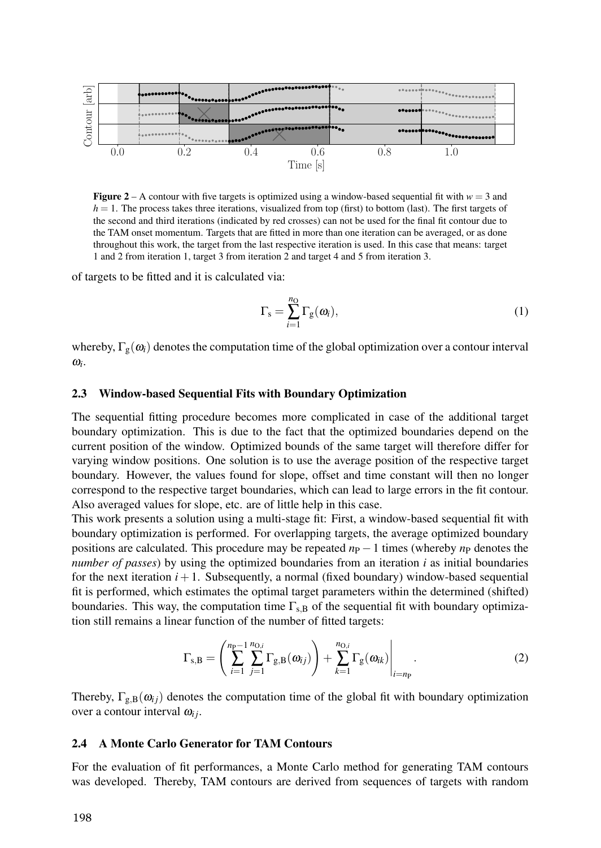

**Figure 2** – A contour with five targets is optimized using a window-based sequential fit with  $w = 3$  and  $h = 1$ . The process takes three iterations, visualized from top (first) to bottom (last). The first targets of the second and third iterations (indicated by red crosses) can not be used for the final fit contour due to the TAM onset momentum. Targets that are fitted in more than one iteration can be averaged, or as done throughout this work, the target from the last respective iteration is used. In this case that means: target 1 and 2 from iteration 1, target 3 from iteration 2 and target 4 and 5 from iteration 3.

of targets to be fitted and it is calculated via:

$$
\Gamma_{\rm s} = \sum_{i=1}^{n_{\rm O}} \Gamma_{\rm g}(\omega_i),\tag{1}
$$

whereby,  $\Gamma_{g}(\omega_i)$  denotes the computation time of the global optimization over a contour interval  $\omega_i$ .

#### 2.3 Window-based Sequential Fits with Boundary Optimization

The sequential fitting procedure becomes more complicated in case of the additional target boundary optimization. This is due to the fact that the optimized boundaries depend on the current position of the window. Optimized bounds of the same target will therefore differ for varying window positions. One solution is to use the average position of the respective target boundary. However, the values found for slope, offset and time constant will then no longer correspond to the respective target boundaries, which can lead to large errors in the fit contour. Also averaged values for slope, etc. are of little help in this case.

This work presents a solution using a multi-stage fit: First, a window-based sequential fit with boundary optimization is performed. For overlapping targets, the average optimized boundary positions are calculated. This procedure may be repeated  $n_P - 1$  times (whereby  $n_P$  denotes the *number of passes*) by using the optimized boundaries from an iteration *i* as initial boundaries for the next iteration  $i+1$ . Subsequently, a normal (fixed boundary) window-based sequential fit is performed, which estimates the optimal target parameters within the determined (shifted) boundaries. This way, the computation time  $\Gamma_{s,B}$  of the sequential fit with boundary optimization still remains a linear function of the number of fitted targets:

$$
\Gamma_{\mathbf{s},\mathbf{B}} = \left( \sum_{i=1}^{n_{\mathbf{p}-1}} \sum_{j=1}^{n_{\mathbf{O},i}} \Gamma_{\mathbf{g},\mathbf{B}}(\boldsymbol{\omega}_{ij}) \right) + \sum_{k=1}^{n_{\mathbf{O},i}} \Gamma_{\mathbf{g}}(\boldsymbol{\omega}_{ik}) \Big|_{i=n_{\mathbf{P}}}.
$$
\n(2)

Thereby,  $\Gamma_{g,B}(\omega_{ij})$  denotes the computation time of the global fit with boundary optimization over a contour interval  $\omega_{ij}$ .

#### 2.4 A Monte Carlo Generator for TAM Contours

For the evaluation of fit performances, a Monte Carlo method for generating TAM contours was developed. Thereby, TAM contours are derived from sequences of targets with random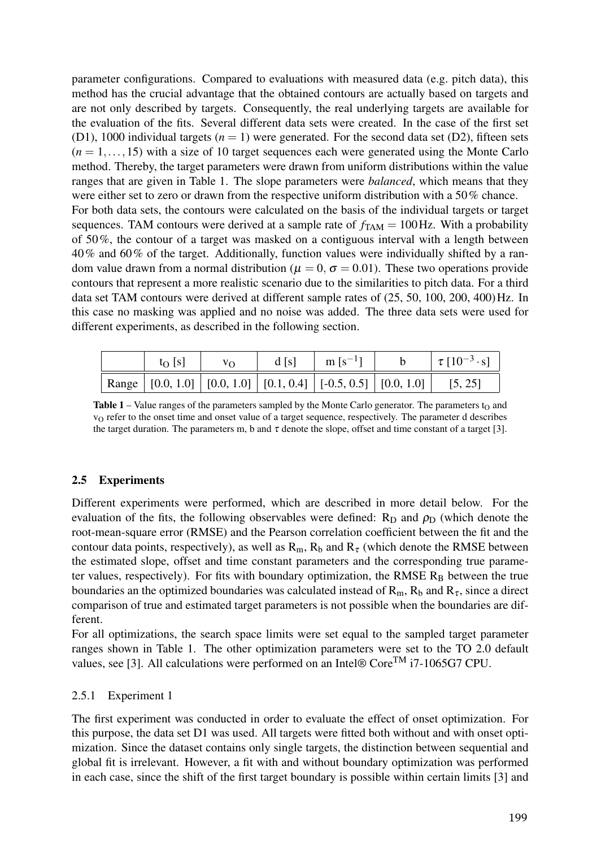parameter configurations. Compared to evaluations with measured data (e.g. pitch data), this method has the crucial advantage that the obtained contours are actually based on targets and are not only described by targets. Consequently, the real underlying targets are available for the evaluation of the fits. Several different data sets were created. In the case of the first set (D1), 1000 individual targets  $(n = 1)$  were generated. For the second data set (D2), fifteen sets  $(n = 1, \ldots, 15)$  with a size of 10 target sequences each were generated using the Monte Carlo method. Thereby, the target parameters were drawn from uniform distributions within the value ranges that are given in Table 1. The slope parameters were *balanced*, which means that they were either set to zero or drawn from the respective uniform distribution with a 50% chance. For both data sets, the contours were calculated on the basis of the individual targets or target

sequences. TAM contours were derived at a sample rate of  $f_{TAM} = 100$  Hz. With a probability of 50%, the contour of a target was masked on a contiguous interval with a length between 40% and 60% of the target. Additionally, function values were individually shifted by a random value drawn from a normal distribution ( $\mu = 0$ ,  $\sigma = 0.01$ ). These two operations provide contours that represent a more realistic scenario due to the similarities to pitch data. For a third data set TAM contours were derived at different sample rates of (25, 50, 100, 200, 400)Hz. In this case no masking was applied and no noise was added. The three data sets were used for different experiments, as described in the following section.

| $t_0$ s | VΩ | d [s] | m $[s^{-1}]$                                                                      | $\tau$ [10 <sup>-3</sup> · s] |
|---------|----|-------|-----------------------------------------------------------------------------------|-------------------------------|
|         |    |       | Range   $[0.0, 1.0]$   $[0.0, 1.0]$   $[0.1, 0.4]$   $[-0.5, 0.5]$   $[0.0, 1.0]$ | [5, 25]                       |

**Table 1** – Value ranges of the parameters sampled by the Monte Carlo generator. The parameters  $t_0$  and  $v<sub>O</sub>$  refer to the onset time and onset value of a target sequence, respectively. The parameter d describes the target duration. The parameters m, b and  $\tau$  denote the slope, offset and time constant of a target [3].

## 2.5 Experiments

Different experiments were performed, which are described in more detail below. For the evaluation of the fits, the following observables were defined:  $R_D$  and  $\rho_D$  (which denote the root-mean-square error (RMSE) and the Pearson correlation coefficient between the fit and the contour data points, respectively), as well as  $R_m$ ,  $R_b$  and  $R_\tau$  (which denote the RMSE between the estimated slope, offset and time constant parameters and the corresponding true parameter values, respectively). For fits with boundary optimization, the RMSE  $R_B$  between the true boundaries an the optimized boundaries was calculated instead of  $R_m$ ,  $R_b$  and  $R_\tau$ , since a direct comparison of true and estimated target parameters is not possible when the boundaries are different.

For all optimizations, the search space limits were set equal to the sampled target parameter ranges shown in Table 1. The other optimization parameters were set to the TO 2.0 default values, see [3]. All calculations were performed on an Intel® Core<sup>TM</sup> i7-1065G7 CPU.

### 2.5.1 Experiment 1

The first experiment was conducted in order to evaluate the effect of onset optimization. For this purpose, the data set D1 was used. All targets were fitted both without and with onset optimization. Since the dataset contains only single targets, the distinction between sequential and global fit is irrelevant. However, a fit with and without boundary optimization was performed in each case, since the shift of the first target boundary is possible within certain limits [3] and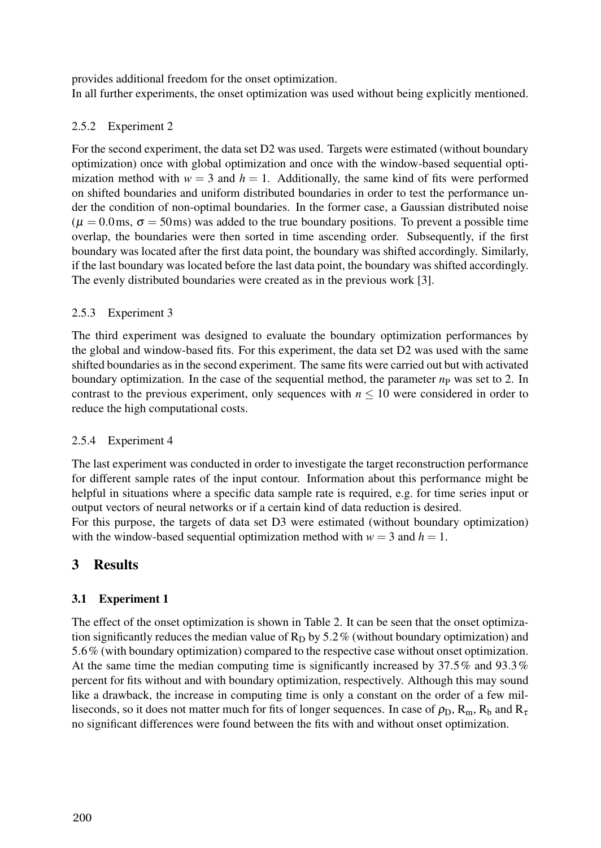provides additional freedom for the onset optimization.

In all further experiments, the onset optimization was used without being explicitly mentioned.

## 2.5.2 Experiment 2

For the second experiment, the data set D2 was used. Targets were estimated (without boundary optimization) once with global optimization and once with the window-based sequential optimization method with  $w = 3$  and  $h = 1$ . Additionally, the same kind of fits were performed on shifted boundaries and uniform distributed boundaries in order to test the performance under the condition of non-optimal boundaries. In the former case, a Gaussian distributed noise  $(\mu = 0.0 \,\text{ms}, \sigma = 50 \,\text{ms})$  was added to the true boundary positions. To prevent a possible time overlap, the boundaries were then sorted in time ascending order. Subsequently, if the first boundary was located after the first data point, the boundary was shifted accordingly. Similarly, if the last boundary was located before the last data point, the boundary was shifted accordingly. The evenly distributed boundaries were created as in the previous work [3].

## 2.5.3 Experiment 3

The third experiment was designed to evaluate the boundary optimization performances by the global and window-based fits. For this experiment, the data set D2 was used with the same shifted boundaries as in the second experiment. The same fits were carried out but with activated boundary optimization. In the case of the sequential method, the parameter  $n<sub>P</sub>$  was set to 2. In contrast to the previous experiment, only sequences with  $n \leq 10$  were considered in order to reduce the high computational costs.

## 2.5.4 Experiment 4

The last experiment was conducted in order to investigate the target reconstruction performance for different sample rates of the input contour. Information about this performance might be helpful in situations where a specific data sample rate is required, e.g. for time series input or output vectors of neural networks or if a certain kind of data reduction is desired.

For this purpose, the targets of data set D3 were estimated (without boundary optimization) with the window-based sequential optimization method with  $w = 3$  and  $h = 1$ .

# 3 Results

# 3.1 Experiment 1

The effect of the onset optimization is shown in Table 2. It can be seen that the onset optimization significantly reduces the median value of  $R<sub>D</sub>$  by 5.2% (without boundary optimization) and 5.6% (with boundary optimization) compared to the respective case without onset optimization. At the same time the median computing time is significantly increased by  $37.5\%$  and  $93.3\%$ percent for fits without and with boundary optimization, respectively. Although this may sound like a drawback, the increase in computing time is only a constant on the order of a few milliseconds, so it does not matter much for fits of longer sequences. In case of  $\rho_D$ ,  $R_m$ ,  $R_b$  and  $R_{\tau}$ no significant differences were found between the fits with and without onset optimization.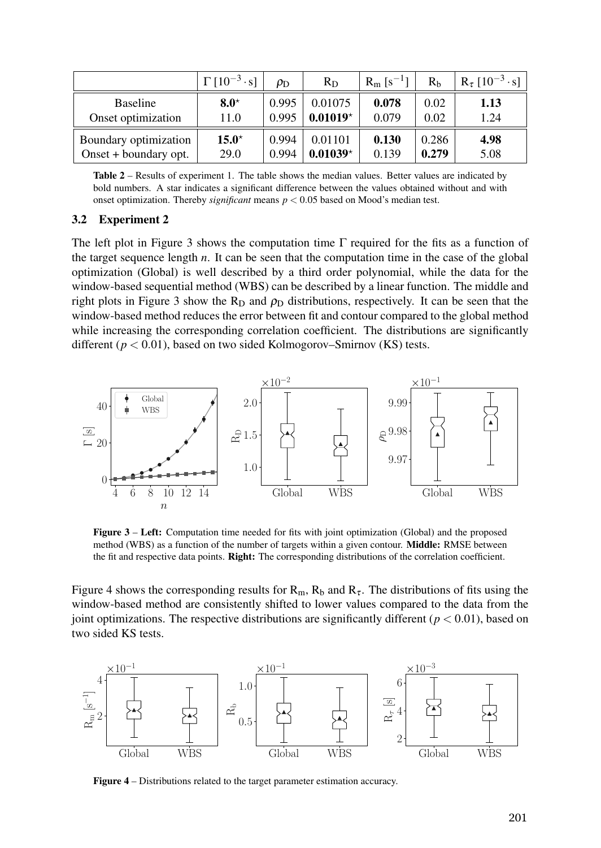|                         | $\Gamma$ [10 <sup>-3</sup> ·s] | $\rho_{\rm D}$ | $R_D$      | $R_m$ [s <sup>-1</sup> ] | R <sub>h</sub> | $R_{\tau}$ [10 <sup>-3</sup> · s] |
|-------------------------|--------------------------------|----------------|------------|--------------------------|----------------|-----------------------------------|
| <b>Baseline</b>         | $8.0^{\star}$                  | 0.995          | 0.01075    | 0.078                    | 0.02           | 1.13                              |
| Onset optimization      | 11.0                           | 0.995          | $0.01019*$ | 0.079                    | 0.02           | 1.24                              |
| Boundary optimization   | $15.0*$                        | 0.994          | 0.01101    | 0.130                    | 0.286          | 4.98                              |
| Onset $+$ boundary opt. | 29.0                           | 0.994          | $0.01039*$ | 0.139                    | 0.279          | 5.08                              |

Table 2 – Results of experiment 1. The table shows the median values. Better values are indicated by bold numbers. A star indicates a significant difference between the values obtained without and with onset optimization. Thereby *significant* means *p* < 0.05 based on Mood's median test.

#### 3.2 Experiment 2

The left plot in Figure 3 shows the computation time Γ required for the fits as a function of the target sequence length  $n$ . It can be seen that the computation time in the case of the global optimization (Global) is well described by a third order polynomial, while the data for the window-based sequential method (WBS) can be described by a linear function. The middle and right plots in Figure 3 show the  $R_D$  and  $\rho_D$  distributions, respectively. It can be seen that the window-based method reduces the error between fit and contour compared to the global method while increasing the corresponding correlation coefficient. The distributions are significantly different ( $p < 0.01$ ), based on two sided Kolmogorov–Smirnov (KS) tests.



Figure 3 – Left: Computation time needed for fits with joint optimization (Global) and the proposed method (WBS) as a function of the number of targets within a given contour. Middle: RMSE between the fit and respective data points. Right: The corresponding distributions of the correlation coefficient.

Figure 4 shows the corresponding results for  $R_m$ ,  $R_b$  and  $R_\tau$ . The distributions of fits using the window-based method are consistently shifted to lower values compared to the data from the joint optimizations. The respective distributions are significantly different ( $p < 0.01$ ), based on two sided KS tests.



Figure 4 – Distributions related to the target parameter estimation accuracy.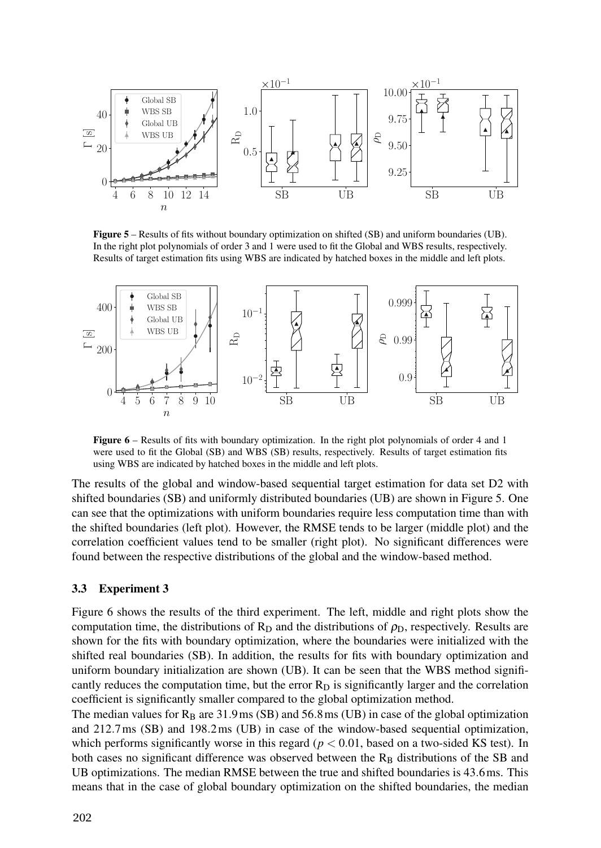

Figure 5 – Results of fits without boundary optimization on shifted (SB) and uniform boundaries (UB). In the right plot polynomials of order 3 and 1 were used to fit the Global and WBS results, respectively. Results of target estimation fits using WBS are indicated by hatched boxes in the middle and left plots.



Figure 6 – Results of fits with boundary optimization. In the right plot polynomials of order 4 and 1 were used to fit the Global (SB) and WBS (SB) results, respectively. Results of target estimation fits using WBS are indicated by hatched boxes in the middle and left plots.

The results of the global and window-based sequential target estimation for data set D2 with shifted boundaries (SB) and uniformly distributed boundaries (UB) are shown in Figure 5. One can see that the optimizations with uniform boundaries require less computation time than with the shifted boundaries (left plot). However, the RMSE tends to be larger (middle plot) and the correlation coefficient values tend to be smaller (right plot). No significant differences were found between the respective distributions of the global and the window-based method.

#### 3.3 Experiment 3

Figure 6 shows the results of the third experiment. The left, middle and right plots show the computation time, the distributions of  $R_D$  and the distributions of  $\rho_D$ , respectively. Results are shown for the fits with boundary optimization, where the boundaries were initialized with the shifted real boundaries (SB). In addition, the results for fits with boundary optimization and uniform boundary initialization are shown (UB). It can be seen that the WBS method significantly reduces the computation time, but the error  $R<sub>D</sub>$  is significantly larger and the correlation coefficient is significantly smaller compared to the global optimization method.

The median values for  $R_B$  are 31.9ms (SB) and 56.8ms (UB) in case of the global optimization and 212.7ms (SB) and 198.2ms (UB) in case of the window-based sequential optimization, which performs significantly worse in this regard  $(p < 0.01$ , based on a two-sided KS test). In both cases no significant difference was observed between the  $R_B$  distributions of the SB and UB optimizations. The median RMSE between the true and shifted boundaries is 43.6ms. This means that in the case of global boundary optimization on the shifted boundaries, the median